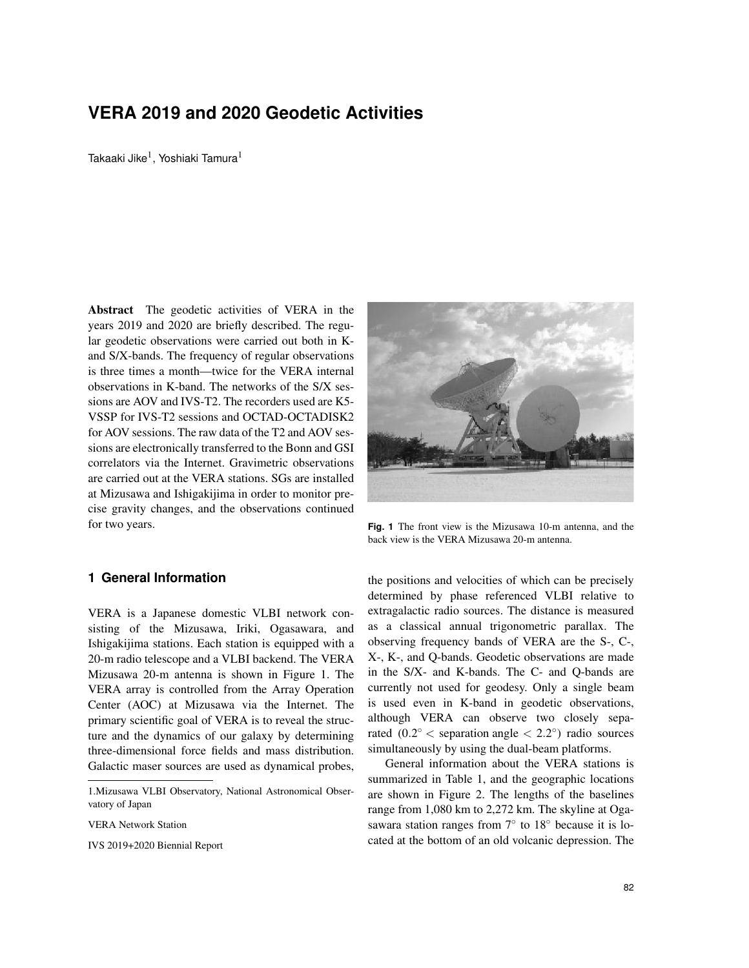# **VERA 2019 and 2020 Geodetic Activities**

Takaaki Jike $^{\rm l}$ , Yoshiaki Tamura $^{\rm l}$ 

Abstract The geodetic activities of VERA in the years 2019 and 2020 are briefly described. The regular geodetic observations were carried out both in Kand S/X-bands. The frequency of regular observations is three times a month—twice for the VERA internal observations in K-band. The networks of the S/X sessions are AOV and IVS-T2. The recorders used are K5- VSSP for IVS-T2 sessions and OCTAD-OCTADISK2 for AOV sessions. The raw data of the T2 and AOV sessions are electronically transferred to the Bonn and GSI correlators via the Internet. Gravimetric observations are carried out at the VERA stations. SGs are installed at Mizusawa and Ishigakijima in order to monitor precise gravity changes, and the observations continued for two years.

### **1 General Information**

VERA is a Japanese domestic VLBI network consisting of the Mizusawa, Iriki, Ogasawara, and Ishigakijima stations. Each station is equipped with a 20-m radio telescope and a VLBI backend. The VERA Mizusawa 20-m antenna is shown in Figure 1. The VERA array is controlled from the Array Operation Center (AOC) at Mizusawa via the Internet. The primary scientific goal of VERA is to reveal the structure and the dynamics of our galaxy by determining three-dimensional force fields and mass distribution. Galactic maser sources are used as dynamical probes,

VERA Network Station

IVS 2019+2020 Biennial Report



**Fig. 1** The front view is the Mizusawa 10-m antenna, and the back view is the VERA Mizusawa 20-m antenna.

the positions and velocities of which can be precisely determined by phase referenced VLBI relative to extragalactic radio sources. The distance is measured as a classical annual trigonometric parallax. The observing frequency bands of VERA are the S-, C-, X-, K-, and Q-bands. Geodetic observations are made in the S/X- and K-bands. The C- and Q-bands are currently not used for geodesy. Only a single beam is used even in K-band in geodetic observations, although VERA can observe two closely separated  $(0.2^{\circ} <$  separation angle  $< 2.2^{\circ}$ ) radio sources simultaneously by using the dual-beam platforms.

General information about the VERA stations is summarized in Table 1, and the geographic locations are shown in Figure 2. The lengths of the baselines range from 1,080 km to 2,272 km. The skyline at Ogasawara station ranges from  $7^\circ$  to  $18^\circ$  because it is located at the bottom of an old volcanic depression. The

<sup>1.</sup>Mizusawa VLBI Observatory, National Astronomical Observatory of Japan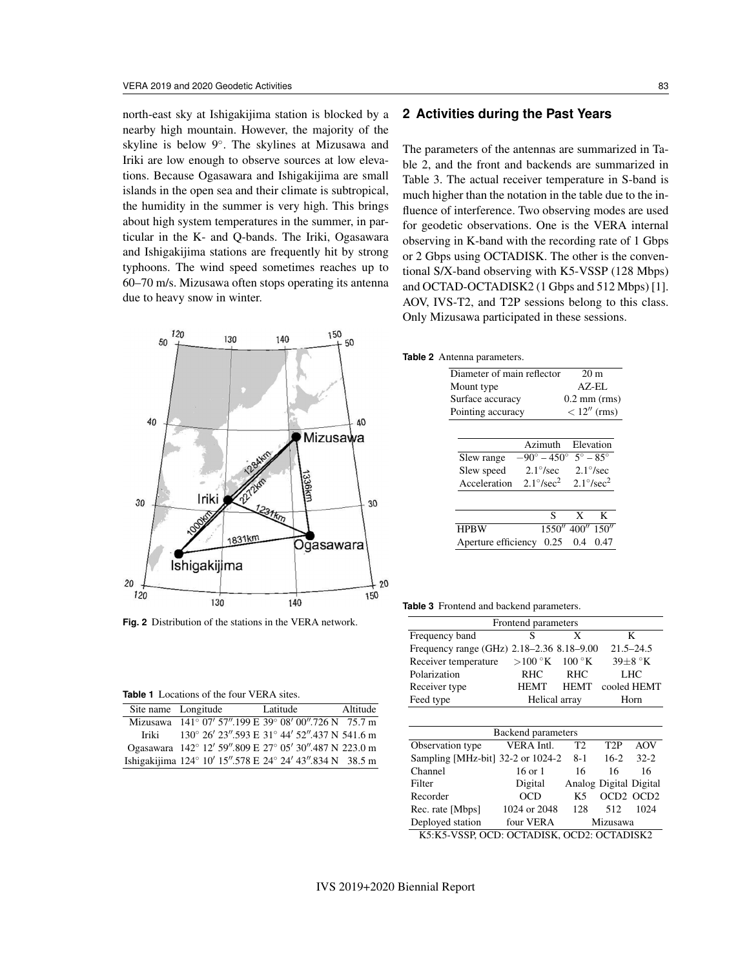north-east sky at Ishigakijima station is blocked by a nearby high mountain. However, the majority of the skyline is below 9◦ . The skylines at Mizusawa and Iriki are low enough to observe sources at low elevations. Because Ogasawara and Ishigakijima are small islands in the open sea and their climate is subtropical, the humidity in the summer is very high. This brings about high system temperatures in the summer, in particular in the K- and Q-bands. The Iriki, Ogasawara and Ishigakijima stations are frequently hit by strong typhoons. The wind speed sometimes reaches up to 60–70 m/s. Mizusawa often stops operating its antenna due to heavy snow in winter.



**Fig. 2** Distribution of the stations in the VERA network.

| <b>Table 1</b> Locations of the four VERA sites. |  |  |  |
|--------------------------------------------------|--|--|--|
|                                                  |  |  |  |

| Site name Longitude |                                                          | Latitude | Altitude |
|---------------------|----------------------------------------------------------|----------|----------|
|                     | Mizusawa 141° 07' 57".199 E 39° 08' 00".726 N 75.7 m     |          |          |
| Iriki               | 130° 26' 23".593 E 31° 44' 52".437 N 541.6 m             |          |          |
|                     | Ogasawara 142° 12' 59".809 E 27° 05' 30".487 N 223.0 m   |          |          |
|                     | Ishigakijima 124° 10' 15".578 E 24° 24' 43".834 N 38.5 m |          |          |

# **2 Activities during the Past Years**

The parameters of the antennas are summarized in Table 2, and the front and backends are summarized in Table 3. The actual receiver temperature in S-band is much higher than the notation in the table due to the influence of interference. Two observing modes are used for geodetic observations. One is the VERA internal observing in K-band with the recording rate of 1 Gbps or 2 Gbps using OCTADISK. The other is the conventional S/X-band observing with K5-VSSP (128 Mbps) and OCTAD-OCTADISK2 (1 Gbps and 512 Mbps) [1]. AOV, IVS-T2, and T2P sessions belong to this class. Only Mizusawa participated in these sessions.

#### **Table 2** Antenna parameters.

| ntenna parameters.         |  |                             |                 |                      |  |  |
|----------------------------|--|-----------------------------|-----------------|----------------------|--|--|
| Diameter of main reflector |  |                             | 20 <sub>m</sub> |                      |  |  |
| Mount type                 |  |                             | $AZ$ -EL        |                      |  |  |
| Surface accuracy           |  |                             | $0.2$ mm (rms)  |                      |  |  |
| Pointing accuracy          |  |                             | $< 12''$ (rms)  |                      |  |  |
|                            |  |                             |                 |                      |  |  |
|                            |  |                             |                 |                      |  |  |
|                            |  | Azimuth                     |                 | Elevation            |  |  |
| Slew range                 |  | $-90^{\circ} - 450^{\circ}$ |                 | $5^\circ - 85^\circ$ |  |  |
| Slew speed                 |  | $2.1^{\circ}/sec$           |                 | $2.1^{\circ}/sec$    |  |  |
| Acceleration               |  | $2.1^{\circ}/sec^2$         |                 | $2.1^{\circ}/sec^2$  |  |  |
|                            |  |                             |                 |                      |  |  |
|                            |  | S                           | X               | K                    |  |  |
| <b>HPBW</b>                |  |                             | 1550" 400"      | 150''                |  |  |
| Aperture efficiency        |  | 0.25                        | 0.4             | 0.47                 |  |  |
|                            |  |                             |                 |                      |  |  |

**Table 3** Frontend and backend parameters.

|                                           | Frontend parameters     |                        |                  |                      |  |
|-------------------------------------------|-------------------------|------------------------|------------------|----------------------|--|
| Frequency band                            | S                       | X                      |                  | K                    |  |
| Frequency range (GHz) 2.18-2.36 8.18-9.00 |                         |                        |                  | $21.5 - 24.5$        |  |
| Receiver temperature                      | $>$ 100 $\rm{^\circ K}$ | $100\text{ °K}$        |                  | $39\pm8~\mathrm{°K}$ |  |
| Polarization                              | <b>RHC</b>              | <b>RHC</b>             |                  | LHC                  |  |
| Receiver type                             | <b>HEMT</b>             | <b>HEMT</b>            |                  | cooled HEMT          |  |
| Feed type                                 | Helical array           | Horn                   |                  |                      |  |
| <b>Backend</b> parameters                 |                         |                        |                  |                      |  |
|                                           |                         |                        |                  |                      |  |
| Observation type                          | VERA Intl.              | T <sub>2</sub>         | T <sub>2</sub> P | AOV                  |  |
| Sampling [MHz-bit] $32-2$ or $1024-2$     |                         | $8-1$                  | $16-2$           | $32 - 2$             |  |
| Channel                                   | $16$ or $1$             | 16                     | 16               | 16                   |  |
| Filter                                    | Digital                 | Analog Digital Digital |                  |                      |  |
| Recorder                                  | OCD                     | K5                     | OCD2 OCD2        |                      |  |
| Rec. rate [Mbps]                          | 1024 or 2048            | 128                    | 512              | 1024                 |  |
| Deployed station                          | four VERA               |                        | Mizusawa         |                      |  |
|                                           |                         |                        |                  |                      |  |